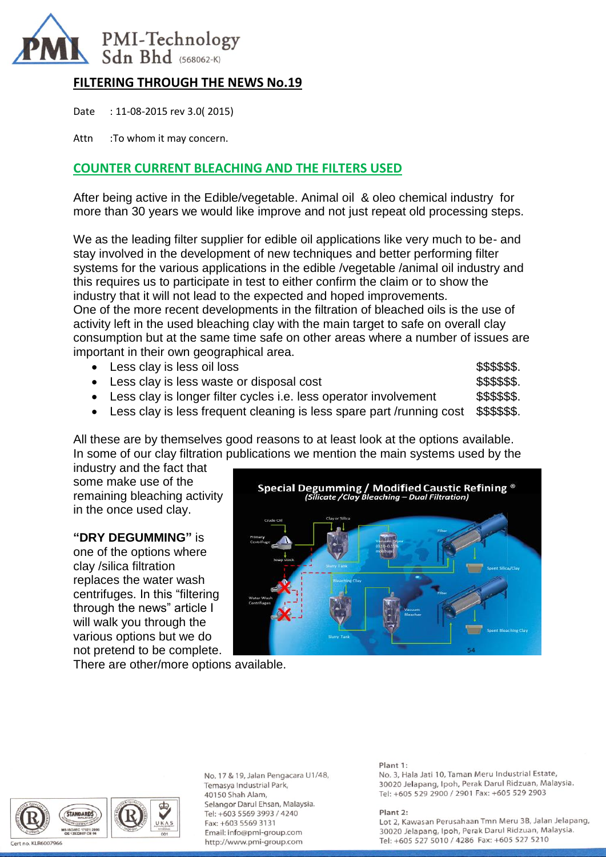

# **FILTERING THROUGH THE NEWS No.19**

Date : 11-08-2015 rev 3.0( 2015)

Attn :To whom it may concern.

## **COUNTER CURRENT BLEACHING AND THE FILTERS USED**

After being active in the Edible/vegetable. Animal oil & oleo chemical industry for more than 30 years we would like improve and not just repeat old processing steps.

We as the leading filter supplier for edible oil applications like very much to be- and stay involved in the development of new techniques and better performing filter systems for the various applications in the edible /vegetable /animal oil industry and this requires us to participate in test to either confirm the claim or to show the industry that it will not lead to the expected and hoped improvements. One of the more recent developments in the filtration of bleached oils is the use of activity left in the used bleaching clay with the main target to safe on overall clay consumption but at the same time safe on other areas where a number of issues are

| important in their own geographical area.                              |               |
|------------------------------------------------------------------------|---------------|
| • Less clay is less oil loss                                           | \$\$\$\$\$\$. |
| • Less clay is less waste or disposal cost                             | \$\$\$\$\$\$. |
| • Less clay is longer filter cycles i.e. less operator involvement     | \$\$\$\$\$\$. |
| • Less clay is less frequent cleaning is less spare part /running cost | \$\$\$\$\$\$. |
|                                                                        |               |

All these are by themselves good reasons to at least look at the options available. In some of our clay filtration publications we mention the main systems used by the

industry and the fact that some make use of the remaining bleaching activity in the once used clay.

## **"DRY DEGUMMING"** is

one of the options where clay /silica filtration replaces the water wash centrifuges. In this "filtering through the news" article I will walk you through the various options but we do not pretend to be complete.



There are other/more options available.



No. 17 & 19, Jalan Pengacara U1/48, Temasya Industrial Park, 40150 Shah Alam, Selangor Darul Ehsan, Malaysia. Tel: +603 5569 3993 / 4240 Fax: +603 5569 3131 Email: info@pmi-group.com http://www.pmi-group.com

#### Plant 1:

No. 3, Hala Jati 10, Taman Meru Industrial Estate, 30020 Jelapang, Ipoh, Perak Darul Ridzuan, Malaysia. Tel: +605 529 2900 / 2901 Fax: +605 529 2903

#### Plant 2: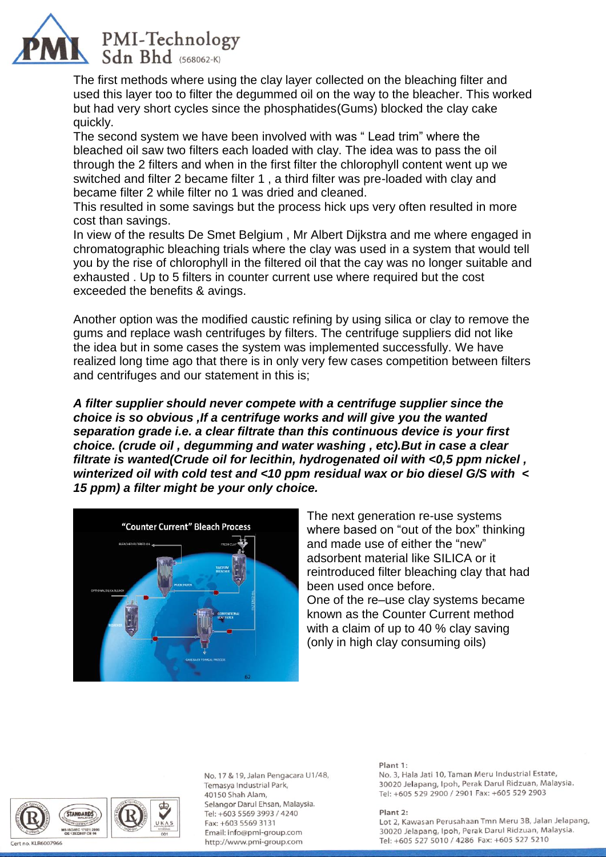

The first methods where using the clay layer collected on the bleaching filter and used this layer too to filter the degummed oil on the way to the bleacher. This worked but had very short cycles since the phosphatides(Gums) blocked the clay cake quickly.

The second system we have been involved with was " Lead trim" where the bleached oil saw two filters each loaded with clay. The idea was to pass the oil through the 2 filters and when in the first filter the chlorophyll content went up we switched and filter 2 became filter 1 , a third filter was pre-loaded with clay and became filter 2 while filter no 1 was dried and cleaned.

This resulted in some savings but the process hick ups very often resulted in more cost than savings.

In view of the results De Smet Belgium , Mr Albert Dijkstra and me where engaged in chromatographic bleaching trials where the clay was used in a system that would tell you by the rise of chlorophyll in the filtered oil that the cay was no longer suitable and exhausted . Up to 5 filters in counter current use where required but the cost exceeded the benefits & avings.

Another option was the modified caustic refining by using silica or clay to remove the gums and replace wash centrifuges by filters. The centrifuge suppliers did not like the idea but in some cases the system was implemented successfully. We have realized long time ago that there is in only very few cases competition between filters and centrifuges and our statement in this is;

*A filter supplier should never compete with a centrifuge supplier since the choice is so obvious ,If a centrifuge works and will give you the wanted separation grade i.e. a clear filtrate than this continuous device is your first choice. (crude oil , degumming and water washing , etc).But in case a clear filtrate is wanted(Crude oil for lecithin, hydrogenated oil with <0,5 ppm nickel , winterized oil with cold test and <10 ppm residual wax or bio diesel G/S with < 15 ppm) a filter might be your only choice.* 



The next generation re-use systems where based on "out of the box" thinking and made use of either the "new" adsorbent material like SILICA or it reintroduced filter bleaching clay that had been used once before. One of the re–use clay systems became known as the Counter Current method with a claim of up to 40 % clay saving (only in high clay consuming oils)



No. 17 & 19, Jalan Pengacara U1/48, Temasya Industrial Park, 40150 Shah Alam, Selangor Darul Ehsan, Malaysia. Tel: +603 5569 3993 / 4240 Fax: +603 5569 3131 Email: info@pmi-group.com http://www.pmi-group.com

#### Plant 1:

No. 3, Hala Jati 10, Taman Meru Industrial Estate, 30020 Jelapang, Ipoh, Perak Darul Ridzuan, Malaysia. Tel: +605 529 2900 / 2901 Fax: +605 529 2903

Plant 2: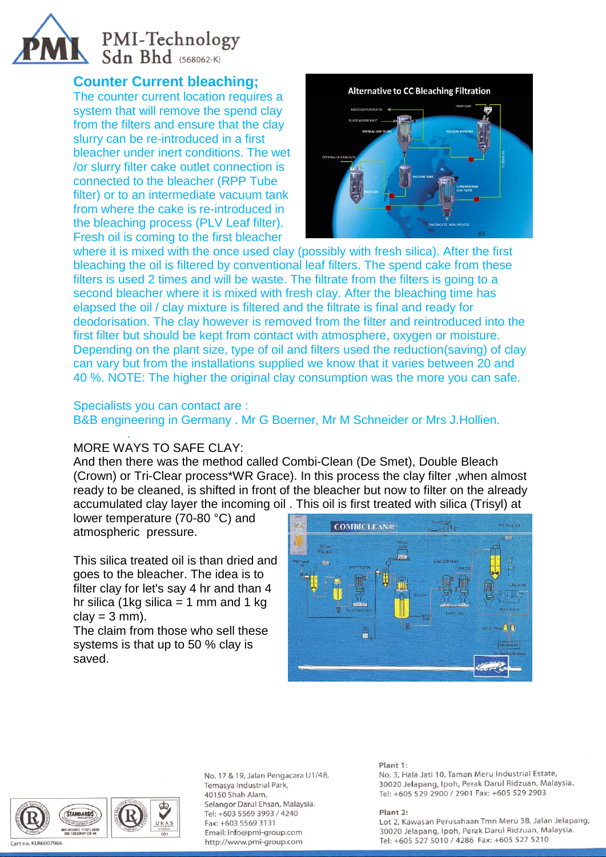# PMI-Technology<br>Sdn Bhd (568062-K)

# **Counter Current bleaching;**

The counter current location requires a system that will remove the spend clay from the filters and ensure that the clay slurry can be re-introduced in a first bleacher under inert conditions. The wet /or slurry filter cake outlet connection is connected to the bleacher (RPP Tube filter) or to an intermediate vacuum tank from where the cake is re-introduced in the bleaching process (PLV Leaf filter). Fresh oil is coming to the first bleacher



where it is mixed with the once used clay (possibly with fresh silica). After the first bleaching the oil is filtered by conventional leaf filters. The spend cake from these filters is used 2 times and will be waste. The filtrate from the filters is going to a second bleacher where it is mixed with fresh clay. After the bleaching time has elapsed the oil / clay mixture is filtered and the filtrate is final and ready for deodorisation. The clay however is removed from the filter and reintroduced into the first filter but should be kept from contact with atmosphere, oxygen or moisture. Depending on the plant size, type of oil and filters used the reduction(saving) of clay can vary but from the installations supplied we know that it varies between 20 and 40 %. NOTE: The higher the original clay consumption was the more you can safe.

Specialists you can contact are :

B&B engineering in Germany . Mr G Boerner, Mr M Schneider or Mrs J.Hollien.

### . MORE WAYS TO SAFE CLAY:

And then there was the method called Combi-Clean (De Smet), Double Bleach (Crown) or Tri-Clear process\*WR Grace). In this process the clay filter ,when almost ready to be cleaned, is shifted in front of the bleacher but now to filter on the already accumulated clay layer the incoming oil . This oil is first treated with silica (Trisyl) at

lower temperature (70-80 °C) and atmospheric pressure.

This silica treated oil is than dried and goes to the bleacher. The idea is to filter clay for let's say 4 hr and than 4 hr silica (1kg silica  $=$  1 mm and 1 kg  $clay = 3$  mm).

The claim from those who sell these systems is that up to 50 % clay is saved.





No. 17 & 19, Jalan Pengacara U1/48, Temasya Industrial Park, 40150 Shah Alam, Selangor Darul Ehsan, Malaysia. Tel: +603 5569 3993 / 4240 Fax: +603 5569 3131 Email: info@pmi-group.com http://www.pmi-group.com

#### Plant 1:

No. 3, Hala Jati 10, Taman Meru Industrial Estate, 30020 Jelapang, Ipoh, Perak Darul Ridzuan, Malaysia. Tel: +605 529 2900 / 2901 Fax: +605 529 2903

Plant 2: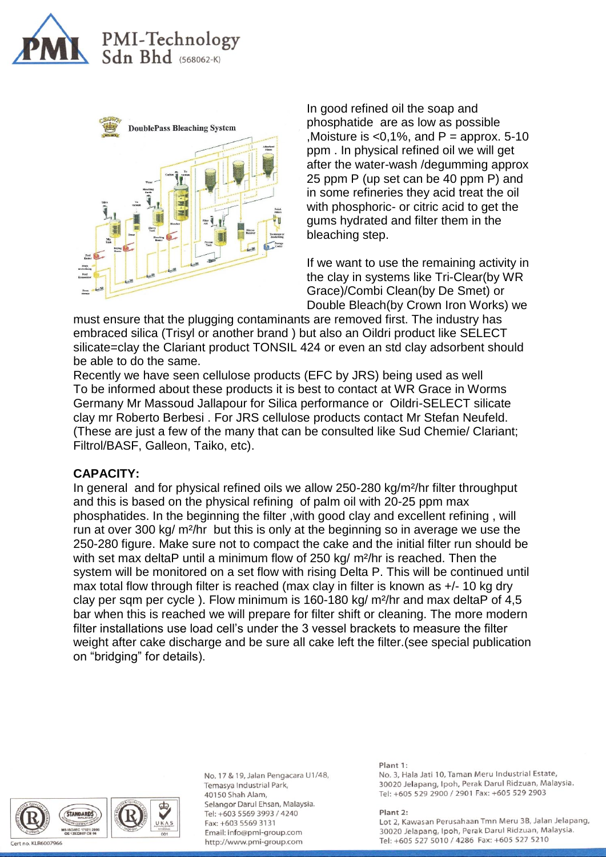



In good refined oil the soap and phosphatide are as low as possible Moisture is  $< 0.1\%$ , and P = approx. 5-10 ppm . In physical refined oil we will get after the water-wash /degumming approx 25 ppm P (up set can be 40 ppm P) and in some refineries they acid treat the oil with phosphoric- or citric acid to get the gums hydrated and filter them in the bleaching step.

If we want to use the remaining activity in the clay in systems like Tri-Clear(by WR Grace)/Combi Clean(by De Smet) or Double Bleach(by Crown Iron Works) we

must ensure that the plugging contaminants are removed first. The industry has embraced silica (Trisyl or another brand ) but also an Oildri product like SELECT silicate=clay the Clariant product TONSIL 424 or even an std clay adsorbent should be able to do the same.

Recently we have seen cellulose products (EFC by JRS) being used as well To be informed about these products it is best to contact at WR Grace in Worms Germany Mr Massoud Jallapour for Silica performance or Oildri-SELECT silicate clay mr Roberto Berbesi . For JRS cellulose products contact Mr Stefan Neufeld. (These are just a few of the many that can be consulted like Sud Chemie/ Clariant; Filtrol/BASF, Galleon, Taiko, etc).

## **CAPACITY:**

In general and for physical refined oils we allow 250-280 kg/m²/hr filter throughput and this is based on the physical refining of palm oil with 20-25 ppm max phosphatides. In the beginning the filter ,with good clay and excellent refining , will run at over 300 kg/ m²/hr but this is only at the beginning so in average we use the 250-280 figure. Make sure not to compact the cake and the initial filter run should be with set max deltaP until a minimum flow of 250 kg/ m<sup>2</sup>/hr is reached. Then the system will be monitored on a set flow with rising Delta P. This will be continued until max total flow through filter is reached (max clay in filter is known as +/- 10 kg dry clay per sqm per cycle ). Flow minimum is 160-180 kg/ m²/hr and max deltaP of 4,5 bar when this is reached we will prepare for filter shift or cleaning. The more modern filter installations use load cell's under the 3 vessel brackets to measure the filter weight after cake discharge and be sure all cake left the filter.(see special publication on "bridging" for details).



No. 17 & 19, Jalan Pengacara U1/48, Temasya Industrial Park, 40150 Shah Alam, Selangor Darul Ehsan, Malaysia. Tel: +603 5569 3993 / 4240 Fax: +603 5569 3131 Email: info@pmi-group.com http://www.pmi-group.com

#### Plant 1:

No. 3, Hala Jati 10, Taman Meru Industrial Estate, 30020 Jelapang, Ipoh, Perak Darul Ridzuan, Malaysia. Tel: +605 529 2900 / 2901 Fax: +605 529 2903

Plant 2: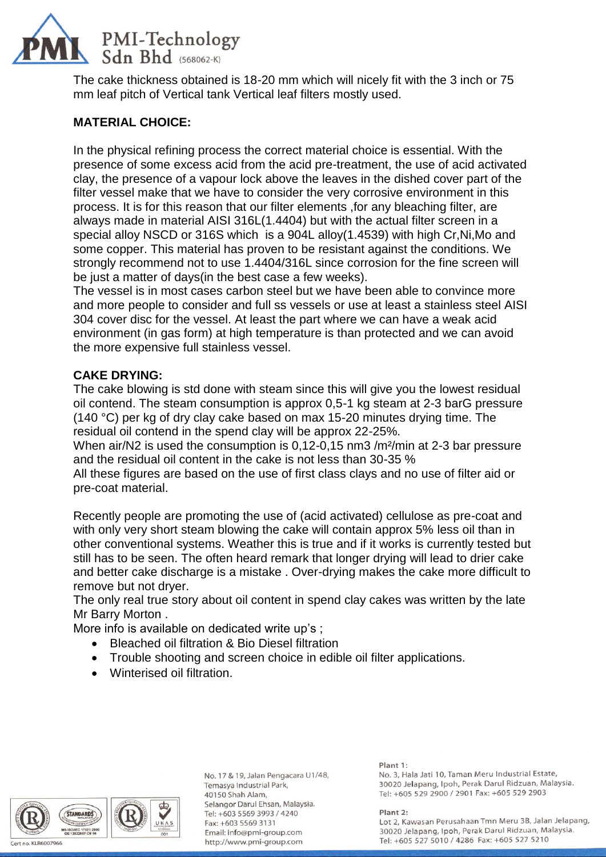

The cake thickness obtained is 18-20 mm which will nicely fit with the 3 inch or 75 mm leaf pitch of Vertical tank Vertical leaf filters mostly used.

# **MATERIAL CHOICE:**

In the physical refining process the correct material choice is essential. With the presence of some excess acid from the acid pre-treatment, the use of acid activated clay, the presence of a vapour lock above the leaves in the dished cover part of the filter vessel make that we have to consider the very corrosive environment in this process. It is for this reason that our filter elements ,for any bleaching filter, are always made in material AISI 316L(1.4404) but with the actual filter screen in a special alloy NSCD or 316S which is a 904L alloy(1.4539) with high Cr,Ni,Mo and some copper. This material has proven to be resistant against the conditions. We strongly recommend not to use 1.4404/316L since corrosion for the fine screen will be just a matter of days(in the best case a few weeks).

The vessel is in most cases carbon steel but we have been able to convince more and more people to consider and full ss vessels or use at least a stainless steel AISI 304 cover disc for the vessel. At least the part where we can have a weak acid environment (in gas form) at high temperature is than protected and we can avoid the more expensive full stainless vessel.

## **CAKE DRYING:**

The cake blowing is std done with steam since this will give you the lowest residual oil contend. The steam consumption is approx 0,5-1 kg steam at 2-3 barG pressure (140 °C) per kg of dry clay cake based on max 15-20 minutes drying time. The residual oil contend in the spend clay will be approx 22-25%.

When air/N2 is used the consumption is 0.12-0.15 nm3 /m<sup>2</sup>/min at 2-3 bar pressure and the residual oil content in the cake is not less than 30-35 %

All these figures are based on the use of first class clays and no use of filter aid or pre-coat material.

Recently people are promoting the use of (acid activated) cellulose as pre-coat and with only very short steam blowing the cake will contain approx 5% less oil than in other conventional systems. Weather this is true and if it works is currently tested but still has to be seen. The often heard remark that longer drying will lead to drier cake and better cake discharge is a mistake . Over-drying makes the cake more difficult to remove but not dryer.

The only real true story about oil content in spend clay cakes was written by the late Mr Barry Morton .

More info is available on dedicated write up's ;

- Bleached oil filtration & Bio Diesel filtration
- Trouble shooting and screen choice in edible oil filter applications.
- Winterised oil filtration.



No. 17 & 19, Jalan Pengacara U1/48, Temasya Industrial Park, 40150 Shah Alam, Selangor Darul Ehsan, Malaysia. Tel: +603 5569 3993 / 4240 Fax: +603 5569 3131 Email: info@pmi-group.com http://www.pmi-group.com

#### Plant 1:

No. 3, Hala Jati 10, Taman Meru Industrial Estate, 30020 Jelapang, Ipoh, Perak Darul Ridzuan, Malaysia. Tel: +605 529 2900 / 2901 Fax: +605 529 2903

Plant 2: